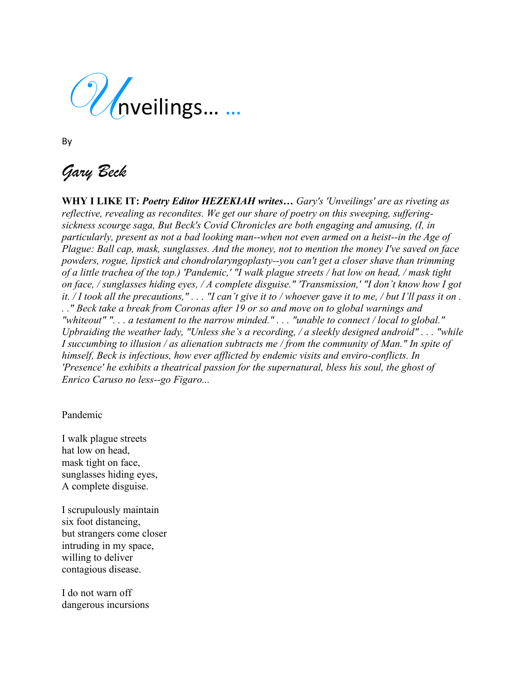Unveilings… …

By

*Gary Beck*

**WHY I LIKE IT:** *Poetry Editor HEZEKIAH writes… Gary's 'Unveilings' are as riveting as reflective, revealing as recondites. We get our share of poetry on this sweeping, sufferingsickness scourge saga, But Beck's Covid Chronicles are both engaging and amusing, (I, in particularly, present as not a bad looking man--when not even armed on a heist--in the Age of Plague: Ball cap, mask, sunglasses. And the money, not to mention the money I've saved on face powders, rogue, lipstick and chondrolaryngoplasty--you can't get a closer shave than trimming of a little trachea of the top.) 'Pandemic,' "I walk plague streets / hat low on head, / mask tight on face, / sunglasses hiding eyes, / A complete disguise." 'Transmission,' "I don't know how I got it.* / I took all the precautions,"... "I can't give it to / whoever gave it to me, / but I'll pass it on. *. ." Beck take a break from Coronas after 19 or so and move on to global warnings and "whiteout" ". . . a testament to the narrow minded." . . . "unable to connect / local to global." Upbraiding the weather lady, "Unless she's a recording, / a sleekly designed android" . . . "while I succumbing to illusion / as alienation subtracts me / from the community of Man." In spite of himself, Beck is infectious, how ever afflicted by endemic visits and enviro-conflicts. In 'Presence' he exhibits a theatrical passion for the supernatural, bless his soul, the ghost of Enrico Caruso no less--go Figaro...*

Pandemic

I walk plague streets hat low on head, mask tight on face, sunglasses hiding eyes, A complete disguise.

I scrupulously maintain six foot distancing, but strangers come closer intruding in my space, willing to deliver contagious disease.

I do not warn off dangerous incursions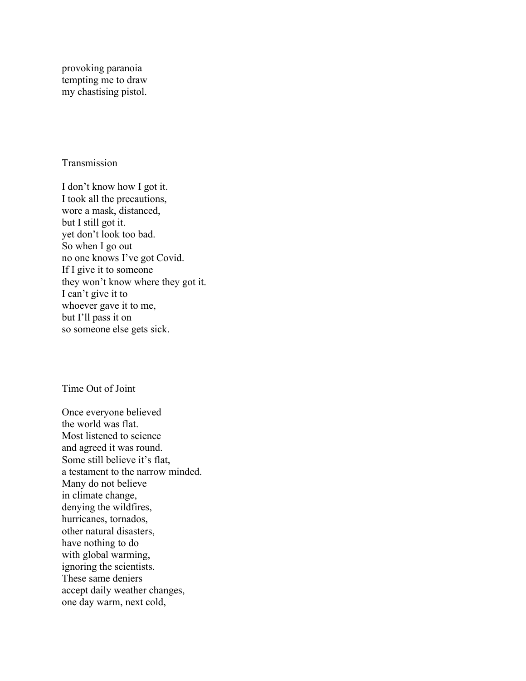provoking paranoia tempting me to draw my chastising pistol.

## Transmission

I don't know how I got it. I took all the precautions, wore a mask, distanced, but I still got it. yet don't look too bad. So when I go out no one knows I've got Covid. If I give it to someone they won't know where they got it. I can't give it to whoever gave it to me, but I'll pass it on so someone else gets sick.

## Time Out of Joint

Once everyone believed the world was flat. Most listened to science and agreed it was round. Some still believe it's flat, a testament to the narrow minded. Many do not believe in climate change, denying the wildfires, hurricanes, tornados, other natural disasters, have nothing to do with global warming, ignoring the scientists. These same deniers accept daily weather changes, one day warm, next cold,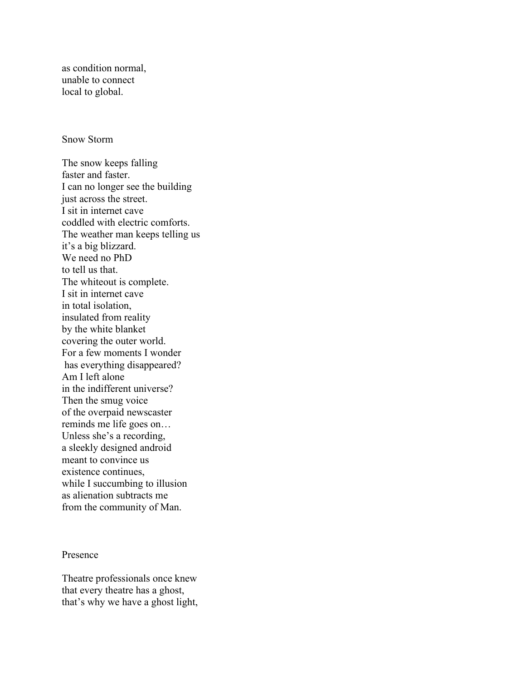as condition normal, unable to connect local to global.

## Snow Storm

The snow keeps falling faster and faster. I can no longer see the building just across the street. I sit in internet cave coddled with electric comforts. The weather man keeps telling us it's a big blizzard. We need no PhD to tell us that. The whiteout is complete. I sit in internet cave in total isolation, insulated from reality by the white blanket covering the outer world. For a few moments I wonder has everything disappeared? Am I left alone in the indifferent universe? Then the smug voice of the overpaid newscaster reminds me life goes on… Unless she's a recording, a sleekly designed android meant to convince us existence continues, while I succumbing to illusion as alienation subtracts me from the community of Man.

## Presence

Theatre professionals once knew that every theatre has a ghost, that's why we have a ghost light,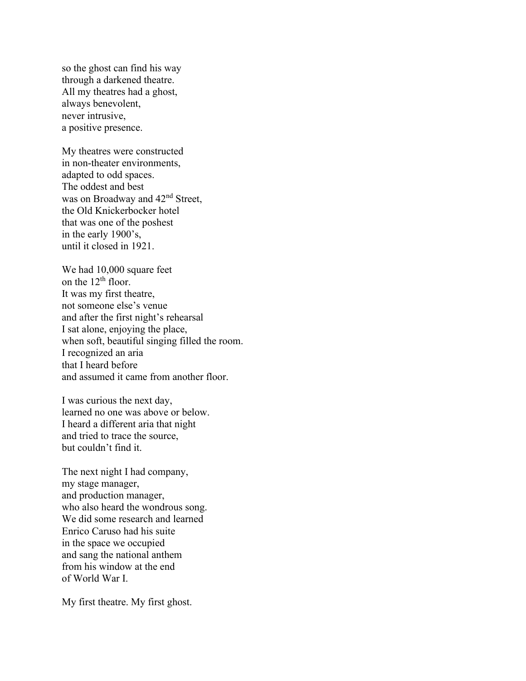so the ghost can find his way through a darkened theatre. All my theatres had a ghost, always benevolent, never intrusive, a positive presence.

My theatres were constructed in non-theater environments, adapted to odd spaces. The oddest and best was on Broadway and  $42<sup>nd</sup>$  Street, the Old Knickerbocker hotel that was one of the poshest in the early 1900's, until it closed in 1921.

We had 10,000 square feet on the 12<sup>th</sup> floor. It was my first theatre, not someone else's venue and after the first night's rehearsal I sat alone, enjoying the place, when soft, beautiful singing filled the room. I recognized an aria that I heard before and assumed it came from another floor.

I was curious the next day, learned no one was above or below. I heard a different aria that night and tried to trace the source, but couldn't find it.

The next night I had company, my stage manager, and production manager, who also heard the wondrous song. We did some research and learned Enrico Caruso had his suite in the space we occupied and sang the national anthem from his window at the end of World War I.

My first theatre. My first ghost.